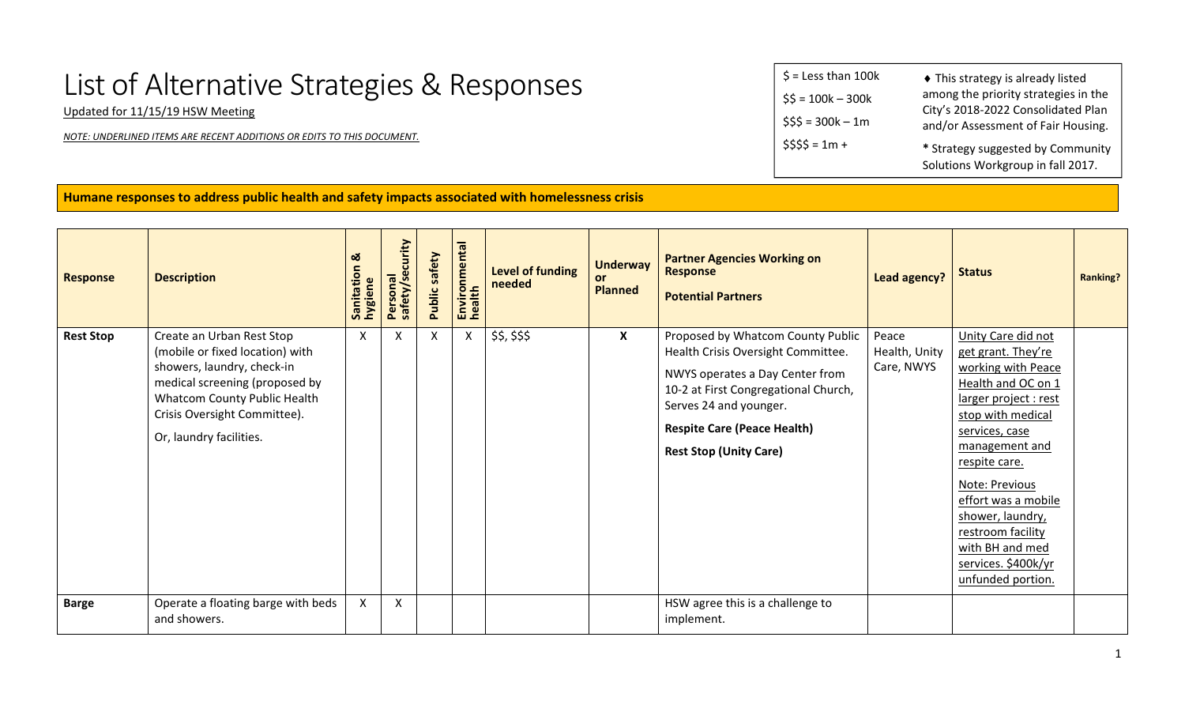## List of Alternative Strategies & Responses

Updated for 11/15/19 HSW Meeting

*NOTE: UNDERLINED ITEMS ARE RECENT ADDITIONS OR EDITS TO THIS DOCUMENT.*

| $$ =$ Less than 100k | ◆ This strategy is already listed                                          |
|----------------------|----------------------------------------------------------------------------|
| $$5 = 100k - 300k$   | among the priority strategies in the<br>City's 2018-2022 Consolidated Plan |
| $$55 = 300k - 1m$    | and/or Assessment of Fair Housing.                                         |
| $$555 = 1m +$        | * Strategy suggested by Community<br>Solutions Workgroup in fall 2017.     |

**Humane responses to address public health and safety impacts associated with homelessness crisis**

| <b>Response</b>  | <b>Description</b>                                                                                                                                                                                                      | <b>ು</b><br>Sanitation | Personal<br>safety/security | Public safety | Environmental<br>health | Level of funding<br>needed | <b>Underway</b><br>or.<br><b>Planned</b> | <b>Partner Agencies Working on</b><br><b>Response</b><br><b>Potential Partners</b>                                                                                                                                                                  | <b>Lead agency?</b>                  | <b>Status</b>                                                                                                                                                                                                                                                                                                                            | <b>Ranking?</b> |
|------------------|-------------------------------------------------------------------------------------------------------------------------------------------------------------------------------------------------------------------------|------------------------|-----------------------------|---------------|-------------------------|----------------------------|------------------------------------------|-----------------------------------------------------------------------------------------------------------------------------------------------------------------------------------------------------------------------------------------------------|--------------------------------------|------------------------------------------------------------------------------------------------------------------------------------------------------------------------------------------------------------------------------------------------------------------------------------------------------------------------------------------|-----------------|
| <b>Rest Stop</b> | Create an Urban Rest Stop<br>(mobile or fixed location) with<br>showers, laundry, check-in<br>medical screening (proposed by<br>Whatcom County Public Health<br>Crisis Oversight Committee).<br>Or, laundry facilities. | $\mathsf{X}$           | X                           | X             | X                       | \$\$, \$\$\$               | $\mathsf{X}$                             | Proposed by Whatcom County Public<br>Health Crisis Oversight Committee.<br>NWYS operates a Day Center from<br>10-2 at First Congregational Church,<br>Serves 24 and younger.<br><b>Respite Care (Peace Health)</b><br><b>Rest Stop (Unity Care)</b> | Peace<br>Health, Unity<br>Care, NWYS | Unity Care did not<br>get grant. They're<br>working with Peace<br>Health and OC on 1<br>larger project : rest<br>stop with medical<br>services, case<br>management and<br>respite care.<br>Note: Previous<br>effort was a mobile<br>shower, laundry,<br>restroom facility<br>with BH and med<br>services. \$400k/yr<br>unfunded portion. |                 |
| <b>Barge</b>     | Operate a floating barge with beds<br>and showers.                                                                                                                                                                      | X                      | X                           |               |                         |                            |                                          | HSW agree this is a challenge to<br>implement.                                                                                                                                                                                                      |                                      |                                                                                                                                                                                                                                                                                                                                          |                 |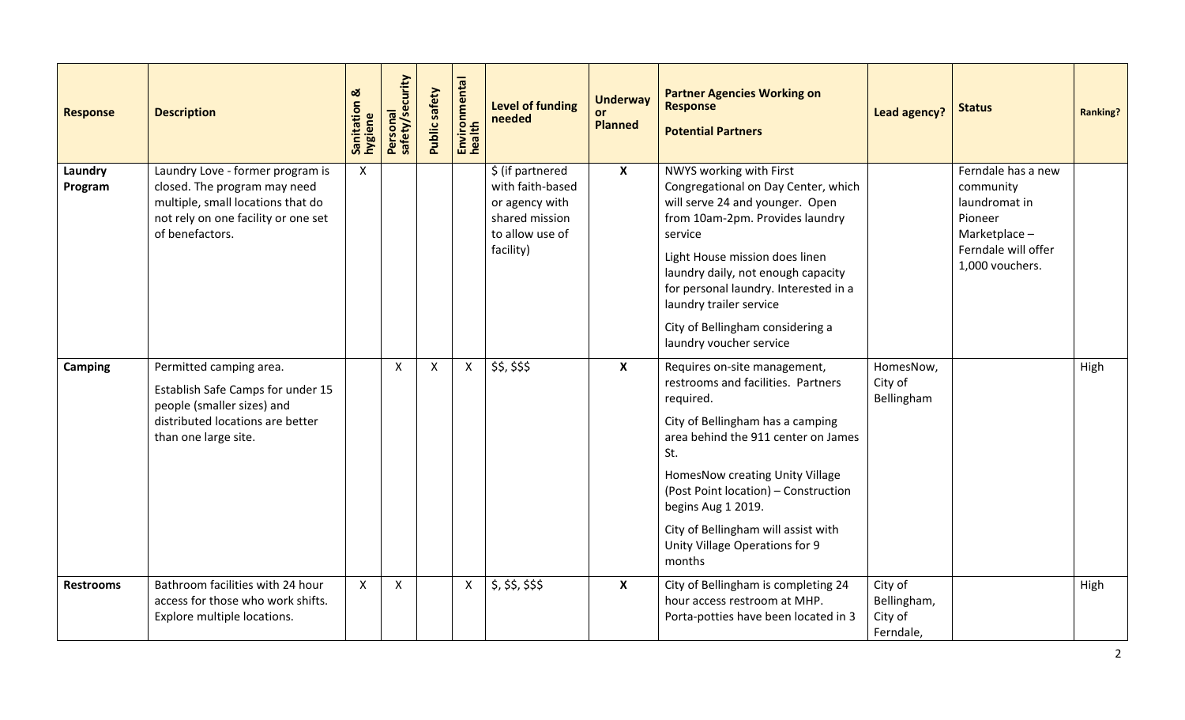| <b>Response</b>    | <b>Description</b>                                                                                                                                              | ಹ<br>Sanitation &<br>hygiene | Personal<br>safety/security | Public safety | Environmental<br>health | <b>Level of funding</b><br>needed                                                                        | <b>Underway</b><br><b>Planned</b> | <b>Partner Agencies Working on</b><br><b>Response</b><br><b>Potential Partners</b>                                                                                                                                                                                                                                                                         | <b>Lead agency?</b>                            | <b>Status</b>                                                                                                          | <b>Ranking?</b> |
|--------------------|-----------------------------------------------------------------------------------------------------------------------------------------------------------------|------------------------------|-----------------------------|---------------|-------------------------|----------------------------------------------------------------------------------------------------------|-----------------------------------|------------------------------------------------------------------------------------------------------------------------------------------------------------------------------------------------------------------------------------------------------------------------------------------------------------------------------------------------------------|------------------------------------------------|------------------------------------------------------------------------------------------------------------------------|-----------------|
| Laundry<br>Program | Laundry Love - former program is<br>closed. The program may need<br>multiple, small locations that do<br>not rely on one facility or one set<br>of benefactors. | $\boldsymbol{\mathsf{X}}$    |                             |               |                         | \$ (if partnered<br>with faith-based<br>or agency with<br>shared mission<br>to allow use of<br>facility) | $\boldsymbol{\mathsf{X}}$         | NWYS working with First<br>Congregational on Day Center, which<br>will serve 24 and younger. Open<br>from 10am-2pm. Provides laundry<br>service<br>Light House mission does linen<br>laundry daily, not enough capacity<br>for personal laundry. Interested in a<br>laundry trailer service<br>City of Bellingham considering a<br>laundry voucher service |                                                | Ferndale has a new<br>community<br>laundromat in<br>Pioneer<br>Marketplace -<br>Ferndale will offer<br>1,000 vouchers. |                 |
| <b>Camping</b>     | Permitted camping area.<br>Establish Safe Camps for under 15<br>people (smaller sizes) and<br>distributed locations are better<br>than one large site.          |                              | $\boldsymbol{\mathsf{X}}$   | $\mathsf{X}$  | $\mathsf{X}$            | \$\$, \$\$\$                                                                                             | X                                 | Requires on-site management,<br>restrooms and facilities. Partners<br>required.<br>City of Bellingham has a camping<br>area behind the 911 center on James<br>St.<br>HomesNow creating Unity Village<br>(Post Point location) - Construction<br>begins Aug 1 2019.<br>City of Bellingham will assist with<br>Unity Village Operations for 9<br>months      | HomesNow,<br>City of<br>Bellingham             |                                                                                                                        | High            |
| <b>Restrooms</b>   | Bathroom facilities with 24 hour<br>access for those who work shifts.<br>Explore multiple locations.                                                            | $\mathsf{X}$                 | $\boldsymbol{\mathsf{X}}$   |               | $\mathsf{X}$            | \$, \$\$, \$\$, \$\$                                                                                     | $\boldsymbol{\mathsf{X}}$         | City of Bellingham is completing 24<br>hour access restroom at MHP.<br>Porta-potties have been located in 3                                                                                                                                                                                                                                                | City of<br>Bellingham,<br>City of<br>Ferndale, |                                                                                                                        | High            |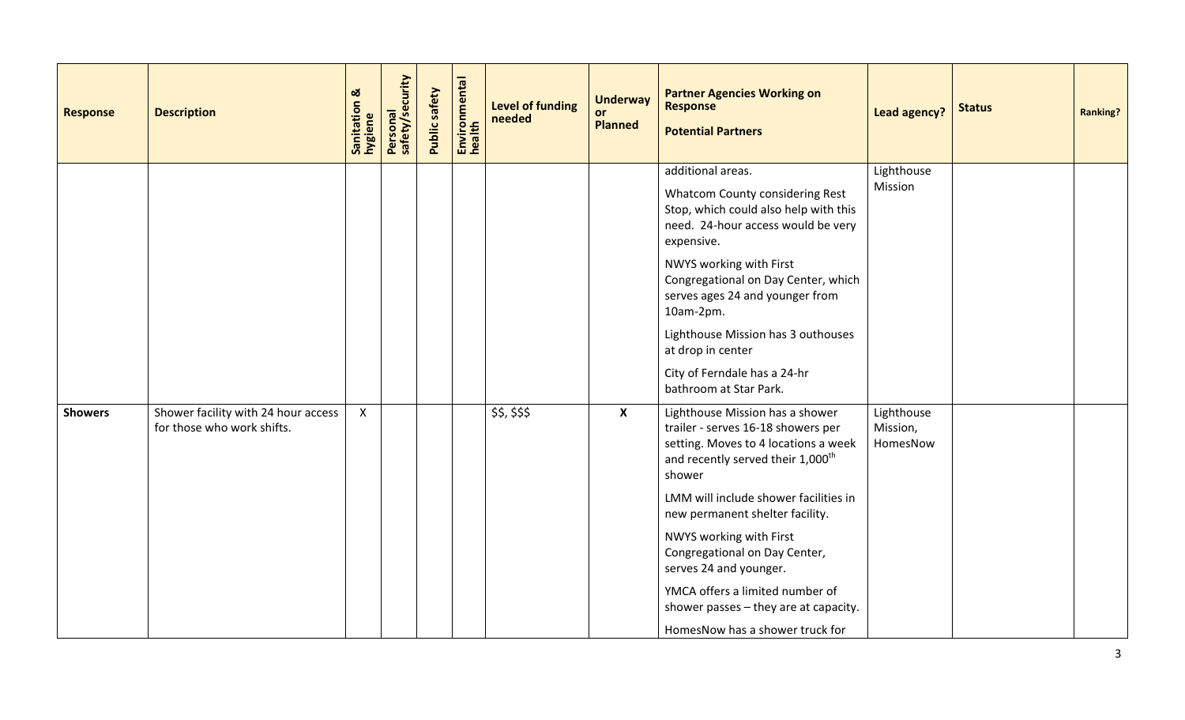| <b>Response</b> | <b>Description</b>                                                | Sanitation &<br>hygiene | Personal<br>safety/security | Public safety | Environmental<br>health | Level of funding<br>needed | <b>Underway</b><br><b>or</b><br><b>Planned</b> | <b>Partner Agencies Working on</b><br><b>Response</b><br><b>Potential Partners</b>                                                                                       | Lead agency?                       | <b>Status</b> | <b>Ranking?</b> |
|-----------------|-------------------------------------------------------------------|-------------------------|-----------------------------|---------------|-------------------------|----------------------------|------------------------------------------------|--------------------------------------------------------------------------------------------------------------------------------------------------------------------------|------------------------------------|---------------|-----------------|
|                 |                                                                   |                         |                             |               |                         |                            |                                                | additional areas.<br>Whatcom County considering Rest<br>Stop, which could also help with this<br>need. 24-hour access would be very<br>expensive.                        | Lighthouse<br>Mission              |               |                 |
|                 |                                                                   |                         |                             |               |                         |                            |                                                | NWYS working with First<br>Congregational on Day Center, which<br>serves ages 24 and younger from<br>10am-2pm.                                                           |                                    |               |                 |
|                 |                                                                   |                         |                             |               |                         |                            |                                                | Lighthouse Mission has 3 outhouses<br>at drop in center                                                                                                                  |                                    |               |                 |
|                 |                                                                   |                         |                             |               |                         |                            |                                                | City of Ferndale has a 24-hr<br>bathroom at Star Park.                                                                                                                   |                                    |               |                 |
| <b>Showers</b>  | Shower facility with 24 hour access<br>for those who work shifts. | $\mathsf{X}$            |                             |               |                         | \$\$, \$\$\$               | $\boldsymbol{\mathsf{X}}$                      | Lighthouse Mission has a shower<br>trailer - serves 16-18 showers per<br>setting. Moves to 4 locations a week<br>and recently served their 1,000 <sup>th</sup><br>shower | Lighthouse<br>Mission,<br>HomesNow |               |                 |
|                 |                                                                   |                         |                             |               |                         |                            |                                                | LMM will include shower facilities in<br>new permanent shelter facility.                                                                                                 |                                    |               |                 |
|                 |                                                                   |                         |                             |               |                         |                            |                                                | NWYS working with First<br>Congregational on Day Center,<br>serves 24 and younger.                                                                                       |                                    |               |                 |
|                 |                                                                   |                         |                             |               |                         |                            |                                                | YMCA offers a limited number of<br>shower passes - they are at capacity.                                                                                                 |                                    |               |                 |
|                 |                                                                   |                         |                             |               |                         |                            |                                                | HomesNow has a shower truck for                                                                                                                                          |                                    |               |                 |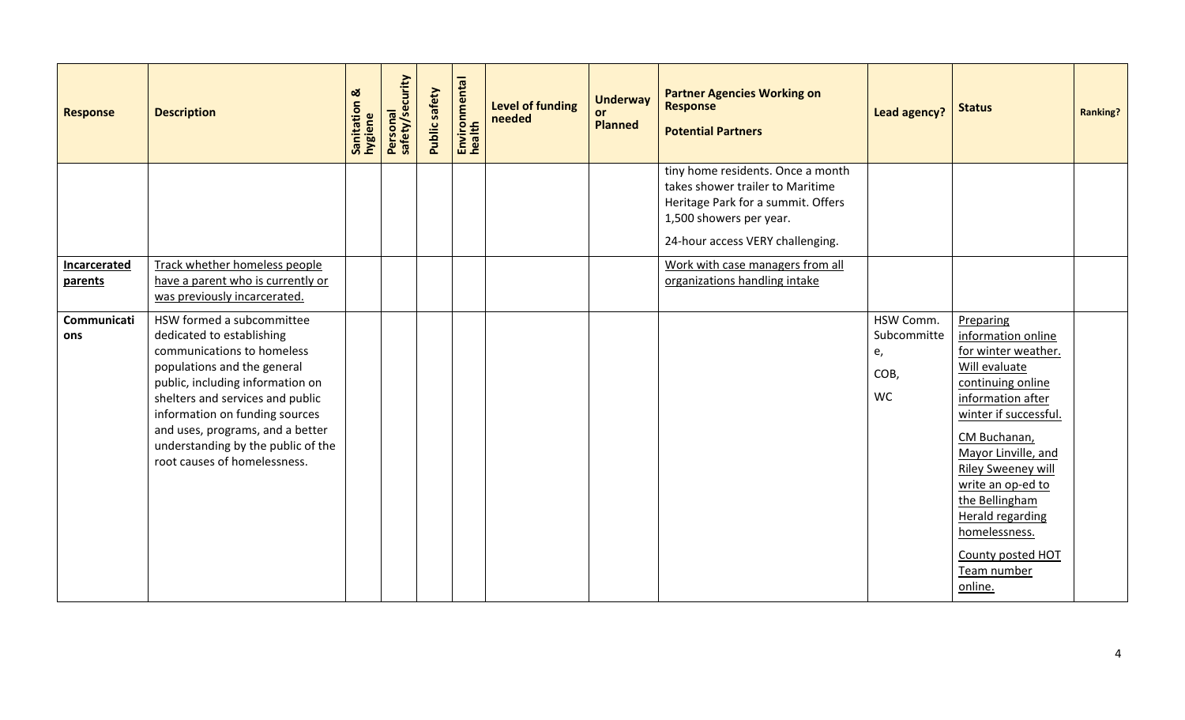| <b>Response</b>         | <b>Description</b>                                                                                                                                                                                                                                                                                                                      | Sanitation &<br>hygiene | Personal<br>safety/security | Public safety | Environmental<br>health | Level of funding<br>needed | <b>Underway</b><br>or<br><b>Planned</b> | <b>Partner Agencies Working on</b><br><b>Response</b><br><b>Potential Partners</b>                                                                                         | <b>Lead agency?</b>                          | <b>Status</b>                                                                                                                                                                                                                                                                                                                             | <b>Ranking?</b> |
|-------------------------|-----------------------------------------------------------------------------------------------------------------------------------------------------------------------------------------------------------------------------------------------------------------------------------------------------------------------------------------|-------------------------|-----------------------------|---------------|-------------------------|----------------------------|-----------------------------------------|----------------------------------------------------------------------------------------------------------------------------------------------------------------------------|----------------------------------------------|-------------------------------------------------------------------------------------------------------------------------------------------------------------------------------------------------------------------------------------------------------------------------------------------------------------------------------------------|-----------------|
|                         |                                                                                                                                                                                                                                                                                                                                         |                         |                             |               |                         |                            |                                         | tiny home residents. Once a month<br>takes shower trailer to Maritime<br>Heritage Park for a summit. Offers<br>1,500 showers per year.<br>24-hour access VERY challenging. |                                              |                                                                                                                                                                                                                                                                                                                                           |                 |
| Incarcerated<br>parents | Track whether homeless people<br>have a parent who is currently or<br>was previously incarcerated.                                                                                                                                                                                                                                      |                         |                             |               |                         |                            |                                         | Work with case managers from all<br>organizations handling intake                                                                                                          |                                              |                                                                                                                                                                                                                                                                                                                                           |                 |
| Communicati<br>ons      | HSW formed a subcommittee<br>dedicated to establishing<br>communications to homeless<br>populations and the general<br>public, including information on<br>shelters and services and public<br>information on funding sources<br>and uses, programs, and a better<br>understanding by the public of the<br>root causes of homelessness. |                         |                             |               |                         |                            |                                         |                                                                                                                                                                            | HSW Comm.<br>Subcommitte<br>e,<br>COB,<br>WC | Preparing<br>information online<br>for winter weather.<br>Will evaluate<br>continuing online<br>information after<br>winter if successful.<br>CM Buchanan,<br>Mayor Linville, and<br>Riley Sweeney will<br>write an op-ed to<br>the Bellingham<br><b>Herald regarding</b><br>homelessness.<br>County posted HOT<br>Team number<br>online. |                 |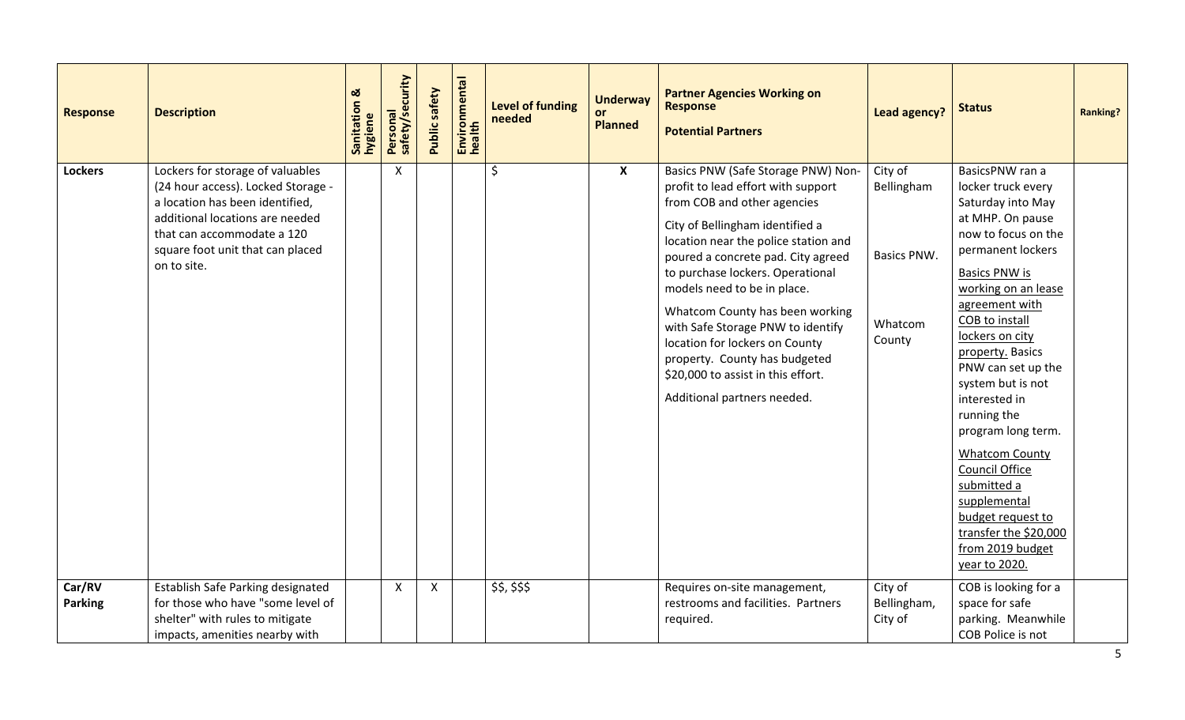| <b>Response</b>          | <b>Description</b>                                                                                                                                                                                                            | Sanitation &<br>hygiene | Personal<br>safety/security | <b>Public safety</b>      | Environmental<br>health | Level of funding<br>needed | <b>Underway</b><br><b>or</b><br><b>Planned</b> | <b>Partner Agencies Working on</b><br><b>Response</b><br><b>Potential Partners</b>                                                                                                                                                                                                                                                                                                                                                                                                                          | <b>Lead agency?</b>                                       | <b>Status</b>                                                                                                                                                                                                                                                                                                                                                                                                                                                                                                      | <b>Ranking?</b> |
|--------------------------|-------------------------------------------------------------------------------------------------------------------------------------------------------------------------------------------------------------------------------|-------------------------|-----------------------------|---------------------------|-------------------------|----------------------------|------------------------------------------------|-------------------------------------------------------------------------------------------------------------------------------------------------------------------------------------------------------------------------------------------------------------------------------------------------------------------------------------------------------------------------------------------------------------------------------------------------------------------------------------------------------------|-----------------------------------------------------------|--------------------------------------------------------------------------------------------------------------------------------------------------------------------------------------------------------------------------------------------------------------------------------------------------------------------------------------------------------------------------------------------------------------------------------------------------------------------------------------------------------------------|-----------------|
| <b>Lockers</b>           | Lockers for storage of valuables<br>(24 hour access). Locked Storage -<br>a location has been identified,<br>additional locations are needed<br>that can accommodate a 120<br>square foot unit that can placed<br>on to site. |                         | $\mathsf{X}$                |                           |                         | \$                         | $\mathsf{X}$                                   | Basics PNW (Safe Storage PNW) Non-<br>profit to lead effort with support<br>from COB and other agencies<br>City of Bellingham identified a<br>location near the police station and<br>poured a concrete pad. City agreed<br>to purchase lockers. Operational<br>models need to be in place.<br>Whatcom County has been working<br>with Safe Storage PNW to identify<br>location for lockers on County<br>property. County has budgeted<br>\$20,000 to assist in this effort.<br>Additional partners needed. | City of<br>Bellingham<br>Basics PNW.<br>Whatcom<br>County | BasicsPNW ran a<br>locker truck every<br>Saturday into May<br>at MHP. On pause<br>now to focus on the<br>permanent lockers<br><b>Basics PNW is</b><br>working on an lease<br>agreement with<br>COB to install<br>lockers on city<br>property. Basics<br>PNW can set up the<br>system but is not<br>interested in<br>running the<br>program long term.<br><b>Whatcom County</b><br>Council Office<br>submitted a<br>supplemental<br>budget request to<br>transfer the \$20,000<br>from 2019 budget<br>year to 2020. |                 |
| Car/RV<br><b>Parking</b> | Establish Safe Parking designated<br>for those who have "some level of<br>shelter" with rules to mitigate<br>impacts, amenities nearby with                                                                                   |                         | $\mathsf{X}$                | $\boldsymbol{\mathsf{X}}$ |                         | \$\$, \$\$\$               |                                                | Requires on-site management,<br>restrooms and facilities. Partners<br>required.                                                                                                                                                                                                                                                                                                                                                                                                                             | City of<br>Bellingham,<br>City of                         | COB is looking for a<br>space for safe<br>parking. Meanwhile<br>COB Police is not                                                                                                                                                                                                                                                                                                                                                                                                                                  |                 |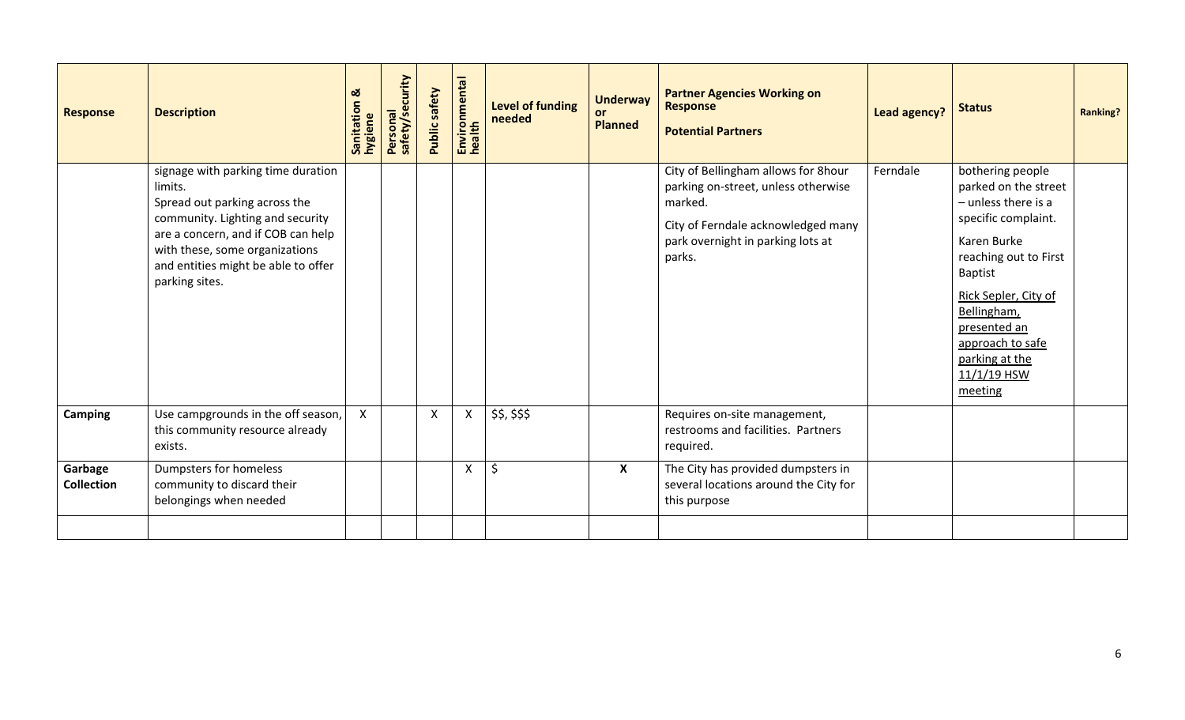| <b>Response</b>              | <b>Description</b>                                                                                                                                                                                                                                  | <b>ವ</b><br>Sanitation<br>hygiene | Personal<br>safety/security | Public safety | Environmental<br>health | <b>Level of funding</b><br>needed | <b>Underway</b><br>or.<br><b>Planned</b> | <b>Partner Agencies Working on</b><br><b>Response</b><br><b>Potential Partners</b>                                                                                         | Lead agency? | <b>Status</b>                                                                                                                                                                                                                                                        | <b>Ranking?</b> |
|------------------------------|-----------------------------------------------------------------------------------------------------------------------------------------------------------------------------------------------------------------------------------------------------|-----------------------------------|-----------------------------|---------------|-------------------------|-----------------------------------|------------------------------------------|----------------------------------------------------------------------------------------------------------------------------------------------------------------------------|--------------|----------------------------------------------------------------------------------------------------------------------------------------------------------------------------------------------------------------------------------------------------------------------|-----------------|
|                              | signage with parking time duration<br>limits.<br>Spread out parking across the<br>community. Lighting and security<br>are a concern, and if COB can help<br>with these, some organizations<br>and entities might be able to offer<br>parking sites. |                                   |                             |               |                         |                                   |                                          | City of Bellingham allows for 8hour<br>parking on-street, unless otherwise<br>marked.<br>City of Ferndale acknowledged many<br>park overnight in parking lots at<br>parks. | Ferndale     | bothering people<br>parked on the street<br>$-$ unless there is a<br>specific complaint.<br>Karen Burke<br>reaching out to First<br>Baptist<br>Rick Sepler, City of<br>Bellingham,<br>presented an<br>approach to safe<br>parking at the<br>$11/1/19$ HSW<br>meeting |                 |
| Camping                      | Use campgrounds in the off season,<br>this community resource already<br>exists.                                                                                                                                                                    | $\boldsymbol{\mathsf{X}}$         |                             | X             | X                       | \$\$, \$\$\$                      |                                          | Requires on-site management,<br>restrooms and facilities. Partners<br>required.                                                                                            |              |                                                                                                                                                                                                                                                                      |                 |
| Garbage<br><b>Collection</b> | Dumpsters for homeless<br>community to discard their<br>belongings when needed                                                                                                                                                                      |                                   |                             |               | X                       | $\zeta$                           | $\boldsymbol{X}$                         | The City has provided dumpsters in<br>several locations around the City for<br>this purpose                                                                                |              |                                                                                                                                                                                                                                                                      |                 |
|                              |                                                                                                                                                                                                                                                     |                                   |                             |               |                         |                                   |                                          |                                                                                                                                                                            |              |                                                                                                                                                                                                                                                                      |                 |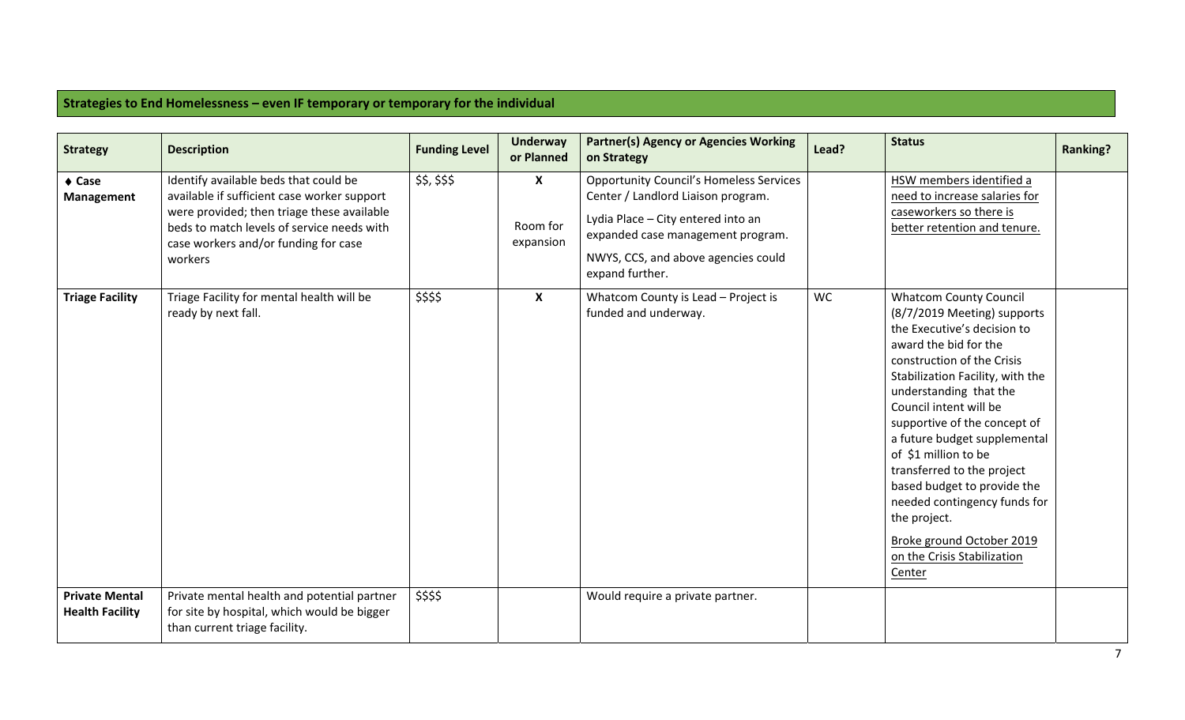## **Strategies to End Homelessness – even IF temporary or temporary for the individual**

| <b>Strategy</b>                                 | <b>Description</b>                                                                                                                                                                                                                  | <b>Funding Level</b> | <b>Underway</b><br>or Planned                      | <b>Partner(s) Agency or Agencies Working</b><br>on Strategy                                                                                                                                                               | Lead? | <b>Status</b>                                                                                                                                                                                                                                                                                                                                                                                                                                                                                                         | <b>Ranking?</b> |
|-------------------------------------------------|-------------------------------------------------------------------------------------------------------------------------------------------------------------------------------------------------------------------------------------|----------------------|----------------------------------------------------|---------------------------------------------------------------------------------------------------------------------------------------------------------------------------------------------------------------------------|-------|-----------------------------------------------------------------------------------------------------------------------------------------------------------------------------------------------------------------------------------------------------------------------------------------------------------------------------------------------------------------------------------------------------------------------------------------------------------------------------------------------------------------------|-----------------|
| $\triangle$ Case<br>Management                  | Identify available beds that could be<br>available if sufficient case worker support<br>were provided; then triage these available<br>beds to match levels of service needs with<br>case workers and/or funding for case<br>workers | \$\$, \$\$\$         | $\boldsymbol{\mathsf{X}}$<br>Room for<br>expansion | <b>Opportunity Council's Homeless Services</b><br>Center / Landlord Liaison program.<br>Lydia Place - City entered into an<br>expanded case management program.<br>NWYS, CCS, and above agencies could<br>expand further. |       | HSW members identified a<br>need to increase salaries for<br>caseworkers so there is<br>better retention and tenure.                                                                                                                                                                                                                                                                                                                                                                                                  |                 |
| <b>Triage Facility</b>                          | Triage Facility for mental health will be<br>ready by next fall.                                                                                                                                                                    | \$\$\$\$             | $\boldsymbol{X}$                                   | Whatcom County is Lead - Project is<br>funded and underway.                                                                                                                                                               | WC    | <b>Whatcom County Council</b><br>(8/7/2019 Meeting) supports<br>the Executive's decision to<br>award the bid for the<br>construction of the Crisis<br>Stabilization Facility, with the<br>understanding that the<br>Council intent will be<br>supportive of the concept of<br>a future budget supplemental<br>of \$1 million to be<br>transferred to the project<br>based budget to provide the<br>needed contingency funds for<br>the project.<br>Broke ground October 2019<br>on the Crisis Stabilization<br>Center |                 |
| <b>Private Mental</b><br><b>Health Facility</b> | Private mental health and potential partner<br>for site by hospital, which would be bigger<br>than current triage facility.                                                                                                         | \$\$\$\$             |                                                    | Would require a private partner.                                                                                                                                                                                          |       |                                                                                                                                                                                                                                                                                                                                                                                                                                                                                                                       |                 |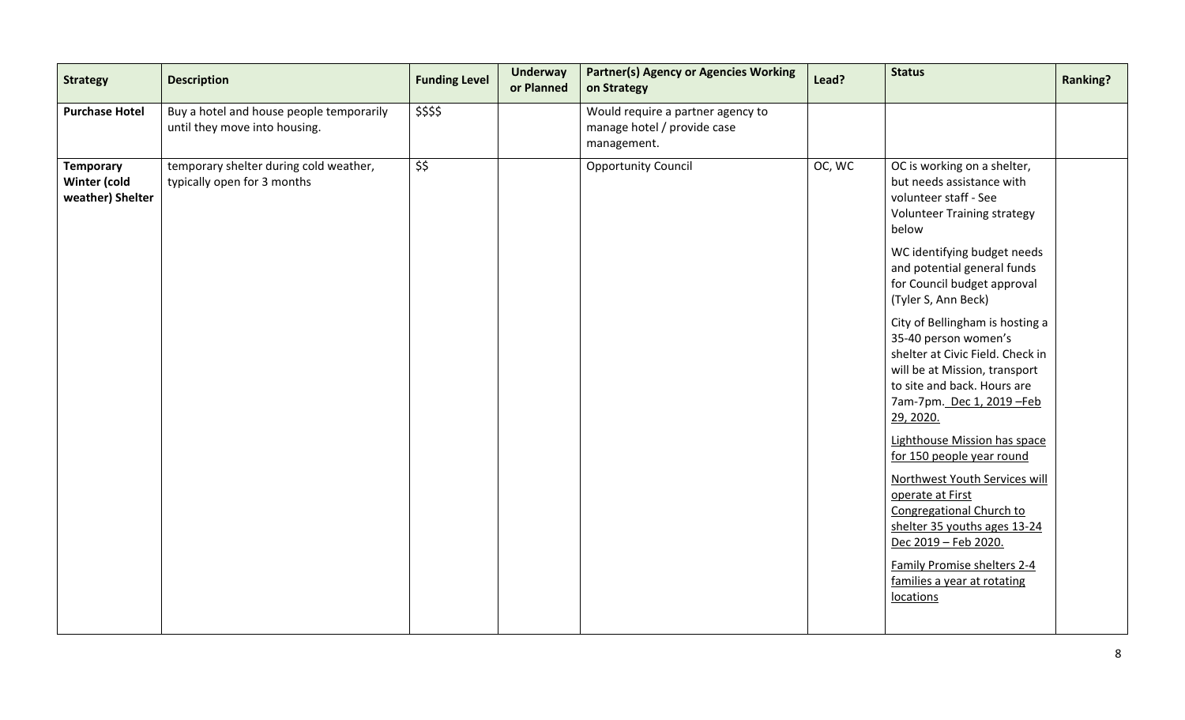| <b>Strategy</b>                                      | <b>Description</b>                                                        | <b>Funding Level</b> | <b>Underway</b><br>or Planned | <b>Partner(s) Agency or Agencies Working</b><br>on Strategy                     | Lead?  | <b>Status</b>                                                                                                                                                                                          | <b>Ranking?</b> |
|------------------------------------------------------|---------------------------------------------------------------------------|----------------------|-------------------------------|---------------------------------------------------------------------------------|--------|--------------------------------------------------------------------------------------------------------------------------------------------------------------------------------------------------------|-----------------|
| <b>Purchase Hotel</b>                                | Buy a hotel and house people temporarily<br>until they move into housing. | \$\$\$\$             |                               | Would require a partner agency to<br>manage hotel / provide case<br>management. |        |                                                                                                                                                                                                        |                 |
| <b>Temporary</b><br>Winter (cold<br>weather) Shelter | temporary shelter during cold weather,<br>typically open for 3 months     | \$\$                 |                               | <b>Opportunity Council</b>                                                      | OC, WC | OC is working on a shelter,<br>but needs assistance with<br>volunteer staff - See<br><b>Volunteer Training strategy</b><br>below                                                                       |                 |
|                                                      |                                                                           |                      |                               |                                                                                 |        | WC identifying budget needs<br>and potential general funds<br>for Council budget approval<br>(Tyler S, Ann Beck)                                                                                       |                 |
|                                                      |                                                                           |                      |                               |                                                                                 |        | City of Bellingham is hosting a<br>35-40 person women's<br>shelter at Civic Field. Check in<br>will be at Mission, transport<br>to site and back. Hours are<br>7am-7pm. Dec 1, 2019 - Feb<br>29, 2020. |                 |
|                                                      |                                                                           |                      |                               |                                                                                 |        | Lighthouse Mission has space<br>for 150 people year round                                                                                                                                              |                 |
|                                                      |                                                                           |                      |                               |                                                                                 |        | Northwest Youth Services will<br>operate at First<br>Congregational Church to<br>shelter 35 youths ages 13-24<br>Dec 2019 - Feb 2020.                                                                  |                 |
|                                                      |                                                                           |                      |                               |                                                                                 |        | Family Promise shelters 2-4<br>families a year at rotating<br>locations                                                                                                                                |                 |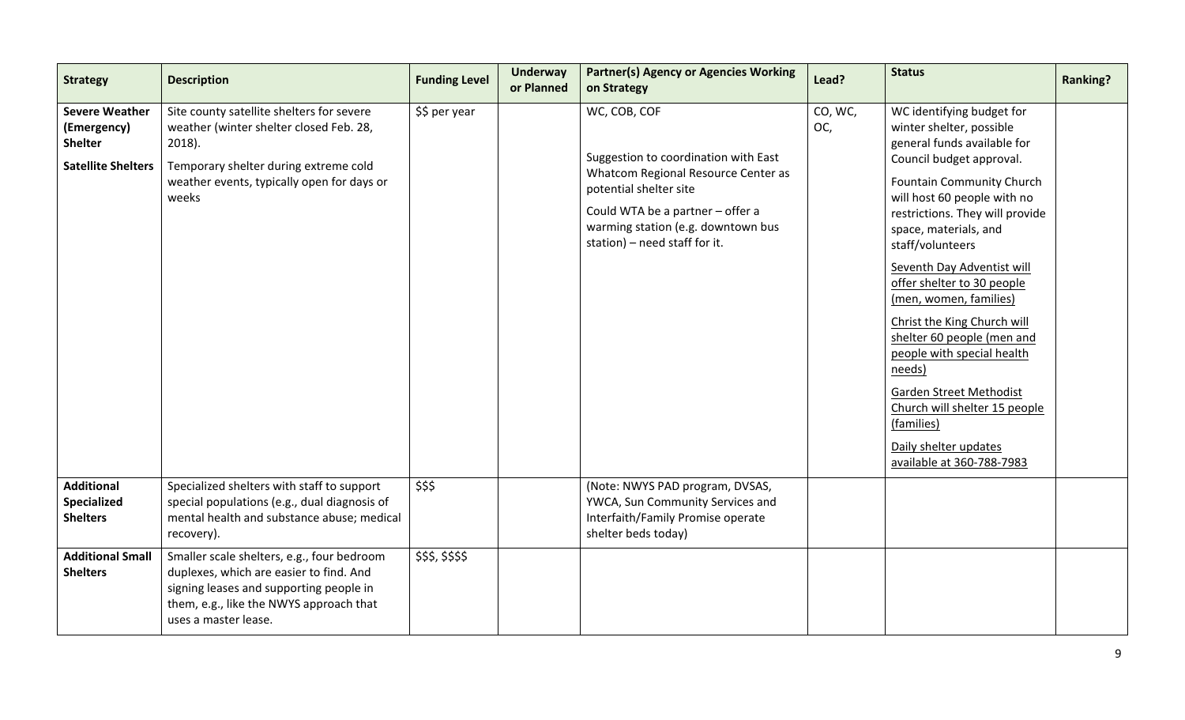| <b>Strategy</b>                                                                     | <b>Description</b>                                                                                                                                                                                  | <b>Funding Level</b> | <b>Underway</b><br>or Planned | <b>Partner(s) Agency or Agencies Working</b><br>on Strategy                                                                                                                                                                      | Lead?          | <b>Status</b>                                                                                                                                                                                                                                                                                                                                                                                                                                                                                                                                                                                  | <b>Ranking?</b> |
|-------------------------------------------------------------------------------------|-----------------------------------------------------------------------------------------------------------------------------------------------------------------------------------------------------|----------------------|-------------------------------|----------------------------------------------------------------------------------------------------------------------------------------------------------------------------------------------------------------------------------|----------------|------------------------------------------------------------------------------------------------------------------------------------------------------------------------------------------------------------------------------------------------------------------------------------------------------------------------------------------------------------------------------------------------------------------------------------------------------------------------------------------------------------------------------------------------------------------------------------------------|-----------------|
| <b>Severe Weather</b><br>(Emergency)<br><b>Shelter</b><br><b>Satellite Shelters</b> | Site county satellite shelters for severe<br>weather (winter shelter closed Feb. 28,<br>$2018$ ).<br>Temporary shelter during extreme cold<br>weather events, typically open for days or<br>weeks   | \$\$ per year        |                               | WC, COB, COF<br>Suggestion to coordination with East<br>Whatcom Regional Resource Center as<br>potential shelter site<br>Could WTA be a partner - offer a<br>warming station (e.g. downtown bus<br>station) - need staff for it. | CO, WC,<br>OC, | WC identifying budget for<br>winter shelter, possible<br>general funds available for<br>Council budget approval.<br>Fountain Community Church<br>will host 60 people with no<br>restrictions. They will provide<br>space, materials, and<br>staff/volunteers<br>Seventh Day Adventist will<br>offer shelter to 30 people<br>(men, women, families)<br>Christ the King Church will<br>shelter 60 people (men and<br>people with special health<br>needs)<br><b>Garden Street Methodist</b><br>Church will shelter 15 people<br>(families)<br>Daily shelter updates<br>available at 360-788-7983 |                 |
| <b>Additional</b><br>Specialized<br><b>Shelters</b>                                 | Specialized shelters with staff to support<br>special populations (e.g., dual diagnosis of<br>mental health and substance abuse; medical<br>recovery).                                              | \$\$\$               |                               | (Note: NWYS PAD program, DVSAS,<br>YWCA, Sun Community Services and<br>Interfaith/Family Promise operate<br>shelter beds today)                                                                                                  |                |                                                                                                                                                                                                                                                                                                                                                                                                                                                                                                                                                                                                |                 |
| <b>Additional Small</b><br><b>Shelters</b>                                          | Smaller scale shelters, e.g., four bedroom<br>duplexes, which are easier to find. And<br>signing leases and supporting people in<br>them, e.g., like the NWYS approach that<br>uses a master lease. | \$\$\$,\$\$\$\$      |                               |                                                                                                                                                                                                                                  |                |                                                                                                                                                                                                                                                                                                                                                                                                                                                                                                                                                                                                |                 |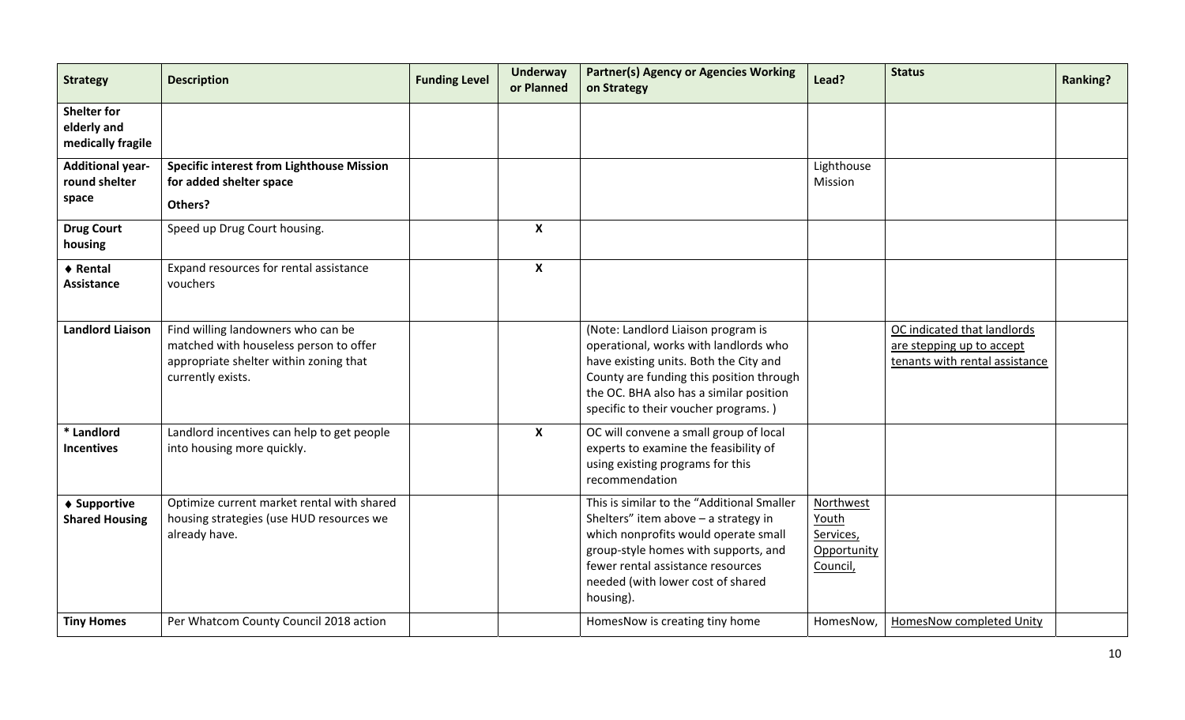| <b>Strategy</b>                                        | <b>Description</b>                                                                                                                          | <b>Funding Level</b> | <b>Underway</b><br>or Planned | <b>Partner(s) Agency or Agencies Working</b><br>on Strategy                                                                                                                                                                                               | Lead?                                                      | <b>Status</b>                                                                              | <b>Ranking?</b> |
|--------------------------------------------------------|---------------------------------------------------------------------------------------------------------------------------------------------|----------------------|-------------------------------|-----------------------------------------------------------------------------------------------------------------------------------------------------------------------------------------------------------------------------------------------------------|------------------------------------------------------------|--------------------------------------------------------------------------------------------|-----------------|
| <b>Shelter for</b><br>elderly and<br>medically fragile |                                                                                                                                             |                      |                               |                                                                                                                                                                                                                                                           |                                                            |                                                                                            |                 |
| <b>Additional year-</b><br>round shelter<br>space      | <b>Specific interest from Lighthouse Mission</b><br>for added shelter space<br>Others?                                                      |                      |                               |                                                                                                                                                                                                                                                           | Lighthouse<br>Mission                                      |                                                                                            |                 |
| <b>Drug Court</b><br>housing                           | Speed up Drug Court housing.                                                                                                                |                      | $\boldsymbol{\mathsf{X}}$     |                                                                                                                                                                                                                                                           |                                                            |                                                                                            |                 |
| ♦ Rental<br><b>Assistance</b>                          | Expand resources for rental assistance<br>vouchers                                                                                          |                      | $\boldsymbol{x}$              |                                                                                                                                                                                                                                                           |                                                            |                                                                                            |                 |
| <b>Landlord Liaison</b>                                | Find willing landowners who can be<br>matched with houseless person to offer<br>appropriate shelter within zoning that<br>currently exists. |                      |                               | (Note: Landlord Liaison program is<br>operational, works with landlords who<br>have existing units. Both the City and<br>County are funding this position through<br>the OC. BHA also has a similar position<br>specific to their voucher programs.)      |                                                            | OC indicated that landlords<br>are stepping up to accept<br>tenants with rental assistance |                 |
| * Landlord<br><b>Incentives</b>                        | Landlord incentives can help to get people<br>into housing more quickly.                                                                    |                      | $\boldsymbol{\mathsf{x}}$     | OC will convene a small group of local<br>experts to examine the feasibility of<br>using existing programs for this<br>recommendation                                                                                                                     |                                                            |                                                                                            |                 |
| ♦ Supportive<br><b>Shared Housing</b>                  | Optimize current market rental with shared<br>housing strategies (use HUD resources we<br>already have.                                     |                      |                               | This is similar to the "Additional Smaller<br>Shelters" item above - a strategy in<br>which nonprofits would operate small<br>group-style homes with supports, and<br>fewer rental assistance resources<br>needed (with lower cost of shared<br>housing). | Northwest<br>Youth<br>Services,<br>Opportunity<br>Council, |                                                                                            |                 |
| <b>Tiny Homes</b>                                      | Per Whatcom County Council 2018 action                                                                                                      |                      |                               | HomesNow is creating tiny home                                                                                                                                                                                                                            | HomesNow,                                                  | <b>HomesNow completed Unity</b>                                                            |                 |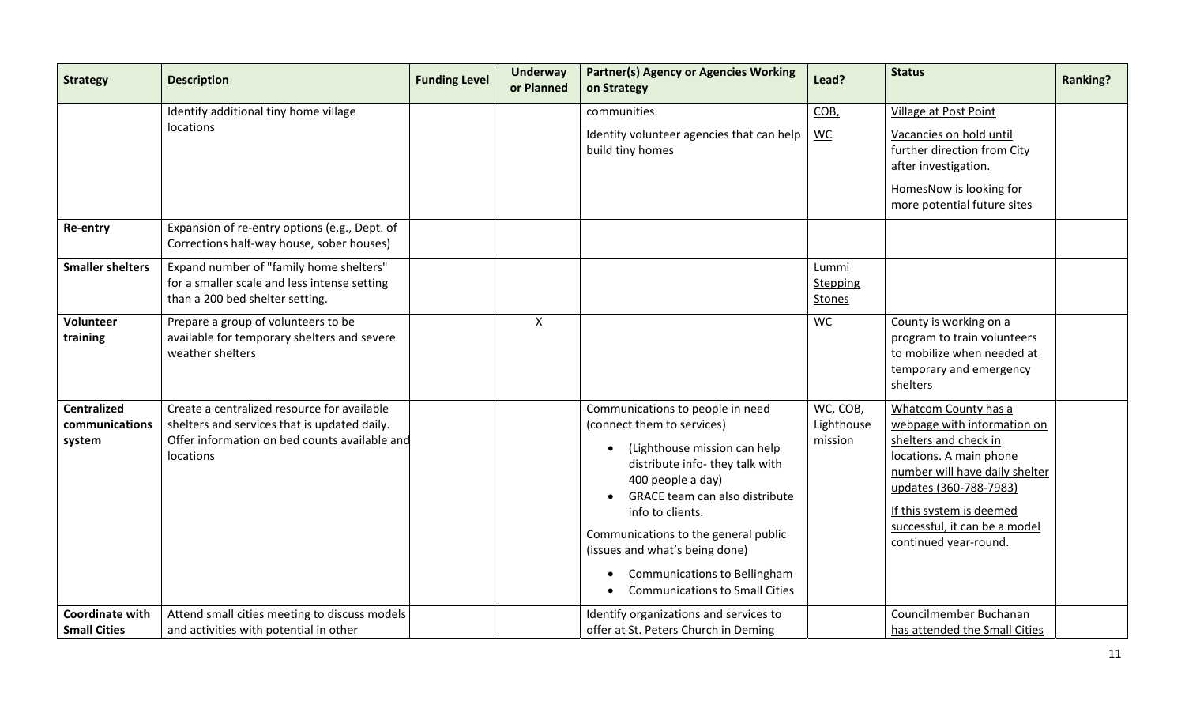| <b>Strategy</b>                                | <b>Description</b>                                                                                                                                        | <b>Funding Level</b> | <b>Underway</b><br>or Planned | <b>Partner(s) Agency or Agencies Working</b><br>on Strategy                                                                                                                                                                                                                                                                                                            | Lead?                                     | <b>Status</b>                                                                                                                                                                                                                                             | <b>Ranking?</b> |
|------------------------------------------------|-----------------------------------------------------------------------------------------------------------------------------------------------------------|----------------------|-------------------------------|------------------------------------------------------------------------------------------------------------------------------------------------------------------------------------------------------------------------------------------------------------------------------------------------------------------------------------------------------------------------|-------------------------------------------|-----------------------------------------------------------------------------------------------------------------------------------------------------------------------------------------------------------------------------------------------------------|-----------------|
|                                                | Identify additional tiny home village<br>locations                                                                                                        |                      |                               | communities.<br>Identify volunteer agencies that can help<br>build tiny homes                                                                                                                                                                                                                                                                                          | COB,<br><b>WC</b>                         | <b>Village at Post Point</b><br>Vacancies on hold until<br>further direction from City<br>after investigation.<br>HomesNow is looking for<br>more potential future sites                                                                                  |                 |
| Re-entry                                       | Expansion of re-entry options (e.g., Dept. of<br>Corrections half-way house, sober houses)                                                                |                      |                               |                                                                                                                                                                                                                                                                                                                                                                        |                                           |                                                                                                                                                                                                                                                           |                 |
| <b>Smaller shelters</b>                        | Expand number of "family home shelters"<br>for a smaller scale and less intense setting<br>than a 200 bed shelter setting.                                |                      |                               |                                                                                                                                                                                                                                                                                                                                                                        | Lummi<br><b>Stepping</b><br><b>Stones</b> |                                                                                                                                                                                                                                                           |                 |
| Volunteer<br>training                          | Prepare a group of volunteers to be<br>available for temporary shelters and severe<br>weather shelters                                                    |                      | $\mathsf{X}$                  |                                                                                                                                                                                                                                                                                                                                                                        | <b>WC</b>                                 | County is working on a<br>program to train volunteers<br>to mobilize when needed at<br>temporary and emergency<br>shelters                                                                                                                                |                 |
| <b>Centralized</b><br>communications<br>system | Create a centralized resource for available<br>shelters and services that is updated daily.<br>Offer information on bed counts available and<br>locations |                      |                               | Communications to people in need<br>(connect them to services)<br>(Lighthouse mission can help<br>distribute info- they talk with<br>400 people a day)<br>GRACE team can also distribute<br>info to clients.<br>Communications to the general public<br>(issues and what's being done)<br><b>Communications to Bellingham</b><br><b>Communications to Small Cities</b> | WC, COB,<br>Lighthouse<br>mission         | Whatcom County has a<br>webpage with information on<br>shelters and check in<br>locations. A main phone<br>number will have daily shelter<br>updates (360-788-7983)<br>If this system is deemed<br>successful, it can be a model<br>continued year-round. |                 |
| <b>Coordinate with</b><br><b>Small Cities</b>  | Attend small cities meeting to discuss models<br>and activities with potential in other                                                                   |                      |                               | Identify organizations and services to<br>offer at St. Peters Church in Deming                                                                                                                                                                                                                                                                                         |                                           | Councilmember Buchanan<br>has attended the Small Cities                                                                                                                                                                                                   |                 |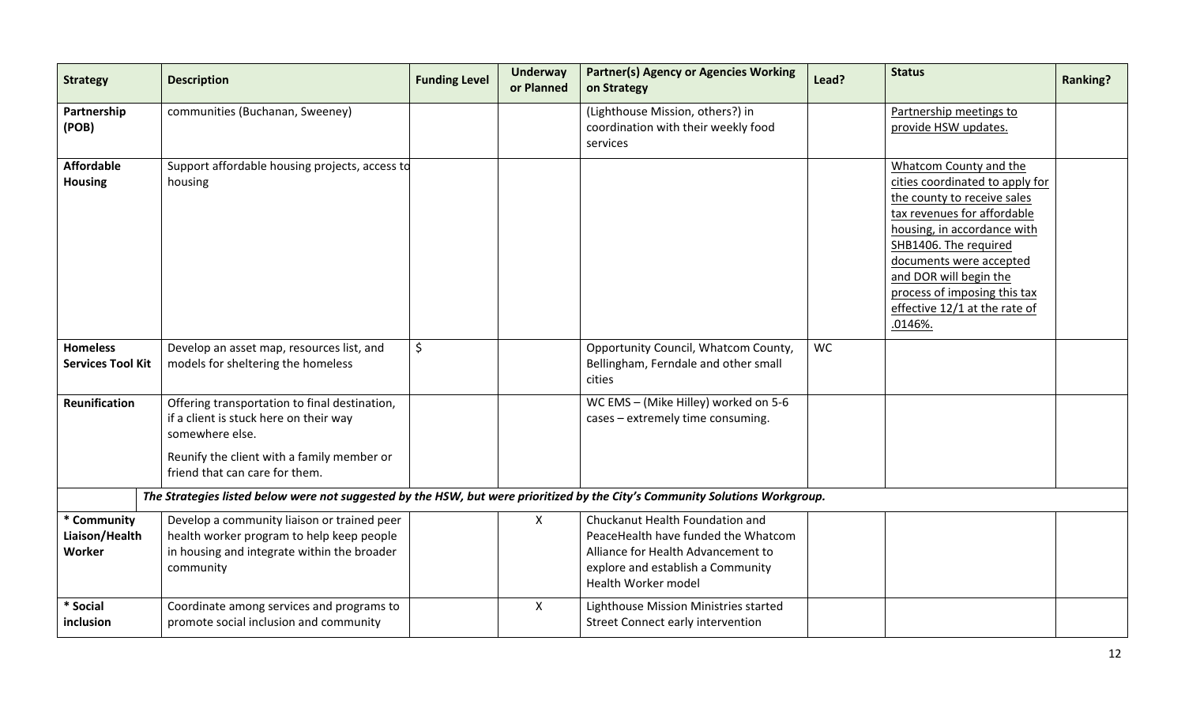| <b>Strategy</b>                                                                                                              | <b>Description</b>                                                                                                                                                                         | <b>Funding Level</b> | <b>Underway</b><br>or Planned | <b>Partner(s) Agency or Agencies Working</b><br>on Strategy                                                                                                              | Lead?     | <b>Status</b>                                                                                                                                                                                                                                                                                                    | <b>Ranking?</b> |  |  |  |  |
|------------------------------------------------------------------------------------------------------------------------------|--------------------------------------------------------------------------------------------------------------------------------------------------------------------------------------------|----------------------|-------------------------------|--------------------------------------------------------------------------------------------------------------------------------------------------------------------------|-----------|------------------------------------------------------------------------------------------------------------------------------------------------------------------------------------------------------------------------------------------------------------------------------------------------------------------|-----------------|--|--|--|--|
| Partnership<br>(POB)                                                                                                         | communities (Buchanan, Sweeney)                                                                                                                                                            |                      |                               | (Lighthouse Mission, others?) in<br>coordination with their weekly food<br>services                                                                                      |           | Partnership meetings to<br>provide HSW updates.                                                                                                                                                                                                                                                                  |                 |  |  |  |  |
| <b>Affordable</b><br><b>Housing</b>                                                                                          | Support affordable housing projects, access td<br>housing                                                                                                                                  |                      |                               |                                                                                                                                                                          |           | Whatcom County and the<br>cities coordinated to apply for<br>the county to receive sales<br>tax revenues for affordable<br>housing, in accordance with<br>SHB1406. The required<br>documents were accepted<br>and DOR will begin the<br>process of imposing this tax<br>effective 12/1 at the rate of<br>.0146%. |                 |  |  |  |  |
| <b>Homeless</b><br><b>Services Tool Kit</b>                                                                                  | Develop an asset map, resources list, and<br>models for sheltering the homeless                                                                                                            | $\zeta$              |                               | Opportunity Council, Whatcom County,<br>Bellingham, Ferndale and other small<br>cities                                                                                   | <b>WC</b> |                                                                                                                                                                                                                                                                                                                  |                 |  |  |  |  |
| Reunification                                                                                                                | Offering transportation to final destination,<br>if a client is stuck here on their way<br>somewhere else.<br>Reunify the client with a family member or<br>friend that can care for them. |                      |                               | WC EMS - (Mike Hilley) worked on 5-6<br>cases - extremely time consuming.                                                                                                |           |                                                                                                                                                                                                                                                                                                                  |                 |  |  |  |  |
| The Strategies listed below were not suggested by the HSW, but were prioritized by the City's Community Solutions Workgroup. |                                                                                                                                                                                            |                      |                               |                                                                                                                                                                          |           |                                                                                                                                                                                                                                                                                                                  |                 |  |  |  |  |
| * Community<br>Liaison/Health<br>Worker                                                                                      | Develop a community liaison or trained peer<br>health worker program to help keep people<br>in housing and integrate within the broader<br>community                                       |                      | $\mathsf{X}$                  | Chuckanut Health Foundation and<br>PeaceHealth have funded the Whatcom<br>Alliance for Health Advancement to<br>explore and establish a Community<br>Health Worker model |           |                                                                                                                                                                                                                                                                                                                  |                 |  |  |  |  |
| * Social<br>inclusion                                                                                                        | Coordinate among services and programs to<br>promote social inclusion and community                                                                                                        |                      | $\mathsf{X}$                  | Lighthouse Mission Ministries started<br><b>Street Connect early intervention</b>                                                                                        |           |                                                                                                                                                                                                                                                                                                                  |                 |  |  |  |  |